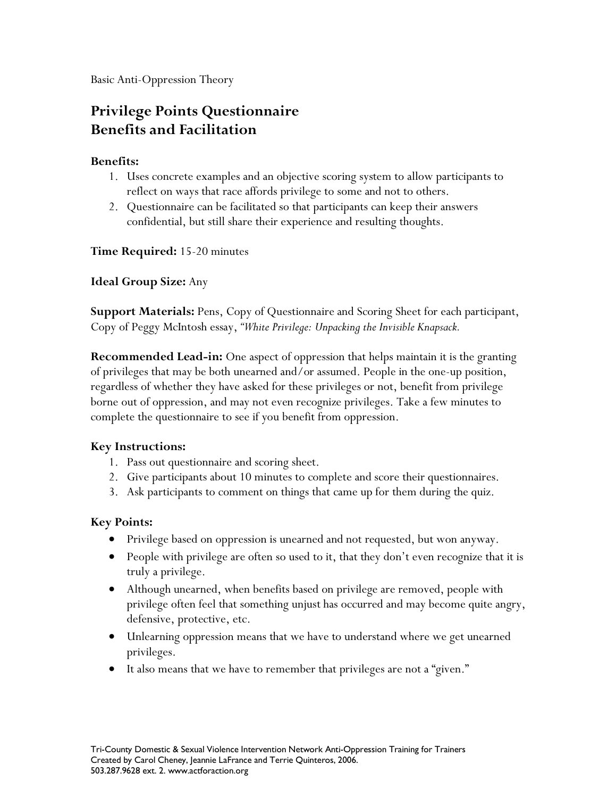Basic Anti-Oppression Theory

# **Privilege Points Questionnaire Benefits and Facilitation**

#### **Benefits:**

- 1. Uses concrete examples and an objective scoring system to allow participants to reflect on ways that race affords privilege to some and not to others.
- 2. Questionnaire can be facilitated so that participants can keep their answers confidential, but still share their experience and resulting thoughts.

**Time Required:** 15-20 minutes

**Ideal Group Size:** Any

**Support Materials:** Pens, Copy of Questionnaire and Scoring Sheet for each participant, Copy of Peggy McIntosh essay, *"White Privilege: Unpacking the Invisible Knapsack.*

**Recommended Lead-in:** One aspect of oppression that helps maintain it is the granting of privileges that may be both unearned and/or assumed. People in the one-up position, regardless of whether they have asked for these privileges or not, benefit from privilege borne out of oppression, and may not even recognize privileges. Take a few minutes to complete the questionnaire to see if you benefit from oppression.

### **Key Instructions:**

- 1. Pass out questionnaire and scoring sheet.
- 2. Give participants about 10 minutes to complete and score their questionnaires.
- 3. Ask participants to comment on things that came up for them during the quiz.

#### **Key Points:**

- · Privilege based on oppression is unearned and not requested, but won anyway.
- People with privilege are often so used to it, that they don't even recognize that it is truly a privilege.
- · Although unearned, when benefits based on privilege are removed, people with privilege often feel that something unjust has occurred and may become quite angry, defensive, protective, etc.
- · Unlearning oppression means that we have to understand where we get unearned privileges.
- · It also means that we have to remember that privileges are not a "given."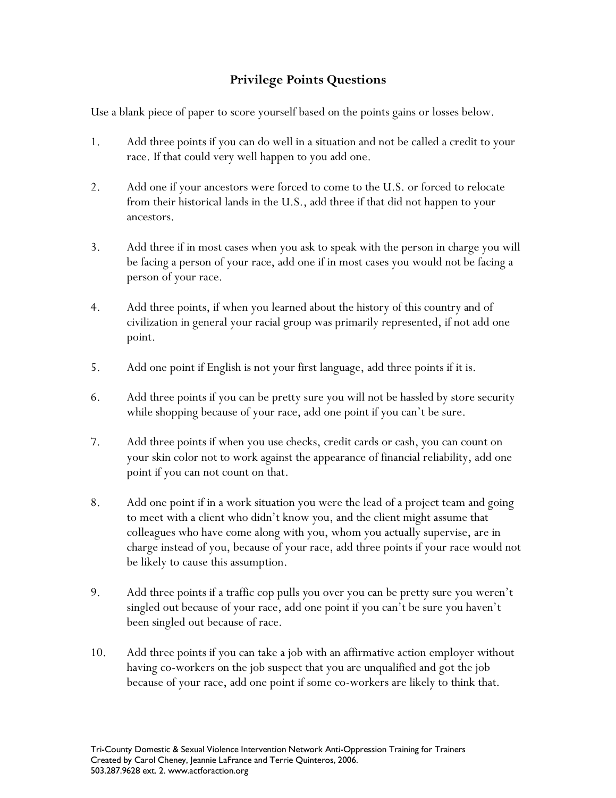## **Privilege Points Questions**

Use a blank piece of paper to score yourself based on the points gains or losses below.

- 1. Add three points if you can do well in a situation and not be called a credit to your race. If that could very well happen to you add one.
- 2. Add one if your ancestors were forced to come to the U.S. or forced to relocate from their historical lands in the U.S., add three if that did not happen to your ancestors.
- 3. Add three if in most cases when you ask to speak with the person in charge you will be facing a person of your race, add one if in most cases you would not be facing a person of your race.
- 4. Add three points, if when you learned about the history of this country and of civilization in general your racial group was primarily represented, if not add one point.
- 5. Add one point if English is not your first language, add three points if it is.
- 6. Add three points if you can be pretty sure you will not be hassled by store security while shopping because of your race, add one point if you can't be sure.
- 7. Add three points if when you use checks, credit cards or cash, you can count on your skin color not to work against the appearance of financial reliability, add one point if you can not count on that.
- 8. Add one point if in a work situation you were the lead of a project team and going to meet with a client who didn't know you, and the client might assume that colleagues who have come along with you, whom you actually supervise, are in charge instead of you, because of your race, add three points if your race would not be likely to cause this assumption.
- 9. Add three points if a traffic cop pulls you over you can be pretty sure you weren't singled out because of your race, add one point if you can't be sure you haven't been singled out because of race.
- 10. Add three points if you can take a job with an affirmative action employer without having co-workers on the job suspect that you are unqualified and got the job because of your race, add one point if some co-workers are likely to think that.